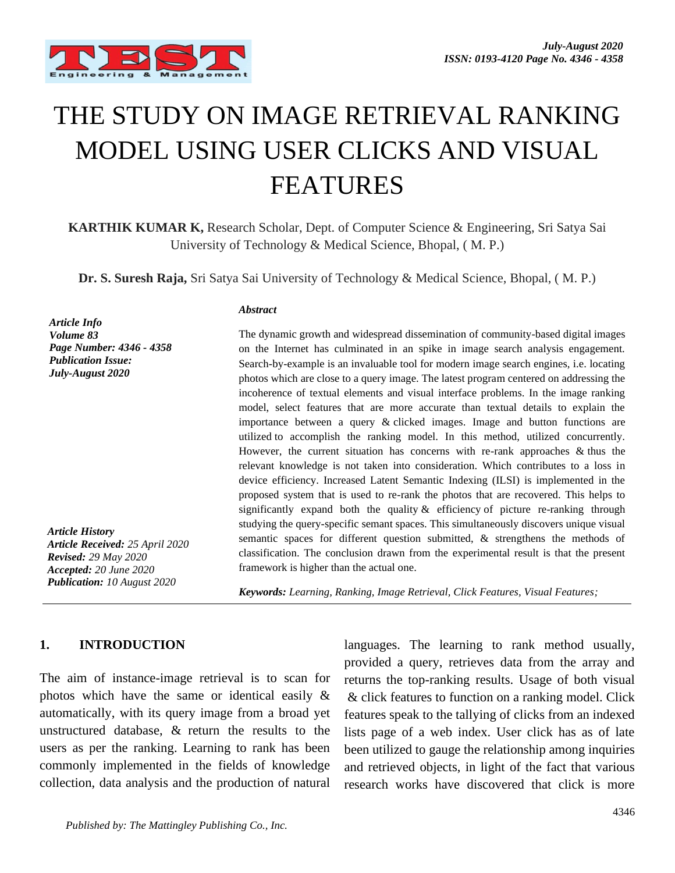

# THE STUDY ON IMAGE RETRIEVAL RANKING MODEL USING USER CLICKS AND VISUAL FEATURES

**KARTHIK KUMAR K,** Research Scholar, Dept. of Computer Science & Engineering, Sri Satya Sai University of Technology & Medical Science, Bhopal, ( M. P.)

**Dr. S. Suresh Raja,** Sri Satya Sai University of Technology & Medical Science, Bhopal, ( M. P.)

*Article Info Volume 83 Page Number: 4346 - 4358 Publication Issue: July-August 2020*

*Article History Article Received: 25 April 2020 Revised: 29 May 2020 Accepted: 20 June 2020 Publication: 10 August 2020*

#### *Abstract*

The dynamic growth and widespread dissemination of community-based digital images on the Internet has culminated in an spike in image search analysis engagement. Search-by-example is an invaluable tool for modern image search engines, i.e. locating photos which are close to a query image. The latest program centered on addressing the incoherence of textual elements and visual interface problems. In the image ranking model, select features that are more accurate than textual details to explain the importance between a query & clicked images. Image and button functions are utilized to accomplish the ranking model. In this method, utilized concurrently. However, the current situation has concerns with re-rank approaches & thus the relevant knowledge is not taken into consideration. Which contributes to a loss in device efficiency. Increased Latent Semantic Indexing (ILSI) is implemented in the proposed system that is used to re-rank the photos that are recovered. This helps to significantly expand both the quality & efficiency of picture re-ranking through studying the query-specific semant spaces. This simultaneously discovers unique visual semantic spaces for different question submitted, & strengthens the methods of classification. The conclusion drawn from the experimental result is that the present framework is higher than the actual one.

*Keywords: Learning, Ranking, Image Retrieval, Click Features, Visual Features;*

#### **1. INTRODUCTION**

The aim of instance-image retrieval is to scan for photos which have the same or identical easily & automatically, with its query image from a broad yet unstructured database, & return the results to the users as per the ranking. Learning to rank has been commonly implemented in the fields of knowledge collection, data analysis and the production of natural

languages. The learning to rank method usually, provided a query, retrieves data from the array and returns the top-ranking results. Usage of both visual & click features to function on a ranking model. Click features speak to the tallying of clicks from an indexed lists page of a web index. User click has as of late been utilized to gauge the relationship among inquiries and retrieved objects, in light of the fact that various research works have discovered that click is more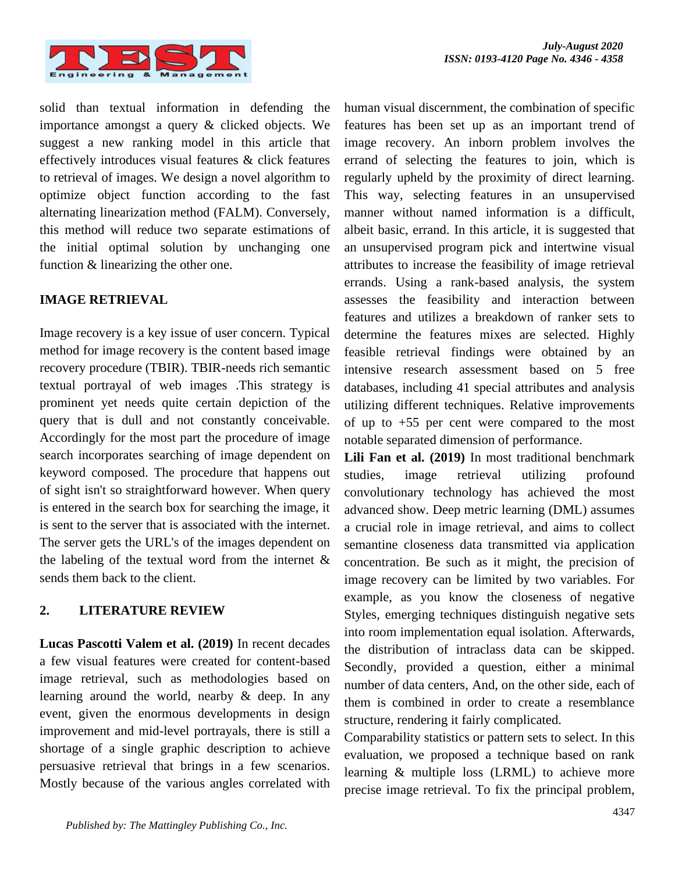

solid than textual information in defending the importance amongst a query & clicked objects. We suggest a new ranking model in this article that effectively introduces visual features & click features to retrieval of images. We design a novel algorithm to optimize object function according to the fast alternating linearization method (FALM). Conversely, this method will reduce two separate estimations of the initial optimal solution by unchanging one function & linearizing the other one.

# **IMAGE RETRIEVAL**

Image recovery is a key issue of user concern. Typical method for image recovery is the content based image recovery procedure (TBIR). TBIR-needs rich semantic textual portrayal of web images .This strategy is prominent yet needs quite certain depiction of the query that is dull and not constantly conceivable. Accordingly for the most part the procedure of image search incorporates searching of image dependent on keyword composed. The procedure that happens out of sight isn't so straightforward however. When query is entered in the search box for searching the image, it is sent to the server that is associated with the internet. The server gets the URL's of the images dependent on the labeling of the textual word from the internet  $\&$ sends them back to the client.

#### **2. LITERATURE REVIEW**

**Lucas Pascotti Valem et al. (2019)** In recent decades a few visual features were created for content-based image retrieval, such as methodologies based on learning around the world, nearby & deep. In any event, given the enormous developments in design improvement and mid-level portrayals, there is still a shortage of a single graphic description to achieve persuasive retrieval that brings in a few scenarios. Mostly because of the various angles correlated with human visual discernment, the combination of specific features has been set up as an important trend of image recovery. An inborn problem involves the errand of selecting the features to join, which is regularly upheld by the proximity of direct learning. This way, selecting features in an unsupervised manner without named information is a difficult, albeit basic, errand. In this article, it is suggested that an unsupervised program pick and intertwine visual attributes to increase the feasibility of image retrieval errands. Using a rank-based analysis, the system assesses the feasibility and interaction between features and utilizes a breakdown of ranker sets to determine the features mixes are selected. Highly feasible retrieval findings were obtained by an intensive research assessment based on 5 free databases, including 41 special attributes and analysis utilizing different techniques. Relative improvements of up to +55 per cent were compared to the most notable separated dimension of performance.

**Lili Fan et al. (2019)** In most traditional benchmark studies, image retrieval utilizing profound convolutionary technology has achieved the most advanced show. Deep metric learning (DML) assumes a crucial role in image retrieval, and aims to collect semantine closeness data transmitted via application concentration. Be such as it might, the precision of image recovery can be limited by two variables. For example, as you know the closeness of negative Styles, emerging techniques distinguish negative sets into room implementation equal isolation. Afterwards, the distribution of intraclass data can be skipped. Secondly, provided a question, either a minimal number of data centers, And, on the other side, each of them is combined in order to create a resemblance structure, rendering it fairly complicated.

Comparability statistics or pattern sets to select. In this evaluation, we proposed a technique based on rank learning & multiple loss (LRML) to achieve more precise image retrieval. To fix the principal problem,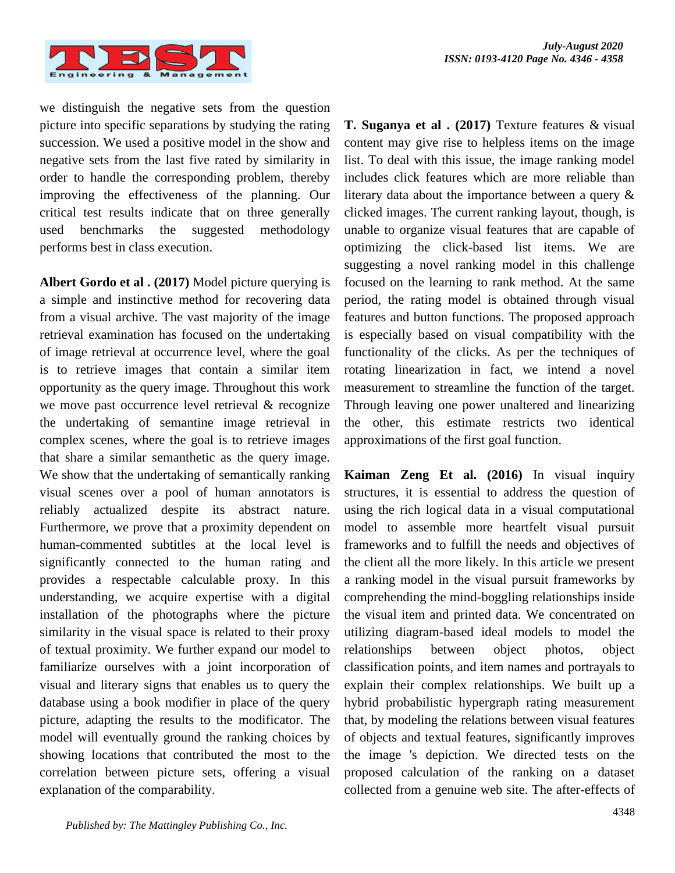

we distinguish the negative sets from the question picture into specific separations by studying the rating succession. We used a positive model in the show and negative sets from the last five rated by similarity in order to handle the corresponding problem, thereby improving the effectiveness of the planning. Our critical test results indicate that on three generally used benchmarks the suggested methodology performs best in class execution.

**Albert Gordo et al . (2017)** Model picture querying is a simple and instinctive method for recovering data from a visual archive. The vast majority of the image retrieval examination has focused on the undertaking of image retrieval at occurrence level, where the goal is to retrieve images that contain a similar item opportunity as the query image. Throughout this work we move past occurrence level retrieval & recognize the undertaking of semantine image retrieval in complex scenes, where the goal is to retrieve images that share a similar semanthetic as the query image. We show that the undertaking of semantically ranking visual scenes over a pool of human annotators is reliably actualized despite its abstract nature. Furthermore, we prove that a proximity dependent on human-commented subtitles at the local level is significantly connected to the human rating and provides a respectable calculable proxy. In this understanding, we acquire expertise with a digital installation of the photographs where the picture similarity in the visual space is related to their proxy of textual proximity. We further expand our model to familiarize ourselves with a joint incorporation of visual and literary signs that enables us to query the database using a book modifier in place of the query picture, adapting the results to the modificator. The model will eventually ground the ranking choices by showing locations that contributed the most to the correlation between picture sets, offering a visual explanation of the comparability.

**T. Suganya et al . (2017)** Texture features & visual content may give rise to helpless items on the image list. To deal with this issue, the image ranking model includes click features which are more reliable than literary data about the importance between a query & clicked images. The current ranking layout, though, is unable to organize visual features that are capable of optimizing the click-based list items. We are suggesting a novel ranking model in this challenge focused on the learning to rank method. At the same period, the rating model is obtained through visual features and button functions. The proposed approach is especially based on visual compatibility with the functionality of the clicks. As per the techniques of rotating linearization in fact, we intend a novel measurement to streamline the function of the target. Through leaving one power unaltered and linearizing the other, this estimate restricts two identical approximations of the first goal function.

**Kaiman Zeng Et al. (2016)** In visual inquiry structures, it is essential to address the question of using the rich logical data in a visual computational model to assemble more heartfelt visual pursuit frameworks and to fulfill the needs and objectives of the client all the more likely. In this article we present a ranking model in the visual pursuit frameworks by comprehending the mind-boggling relationships inside the visual item and printed data. We concentrated on utilizing diagram-based ideal models to model the relationships between object photos, object classification points, and item names and portrayals to explain their complex relationships. We built up a hybrid probabilistic hypergraph rating measurement that, by modeling the relations between visual features of objects and textual features, significantly improves the image 's depiction. We directed tests on the proposed calculation of the ranking on a dataset collected from a genuine web site. The after-effects of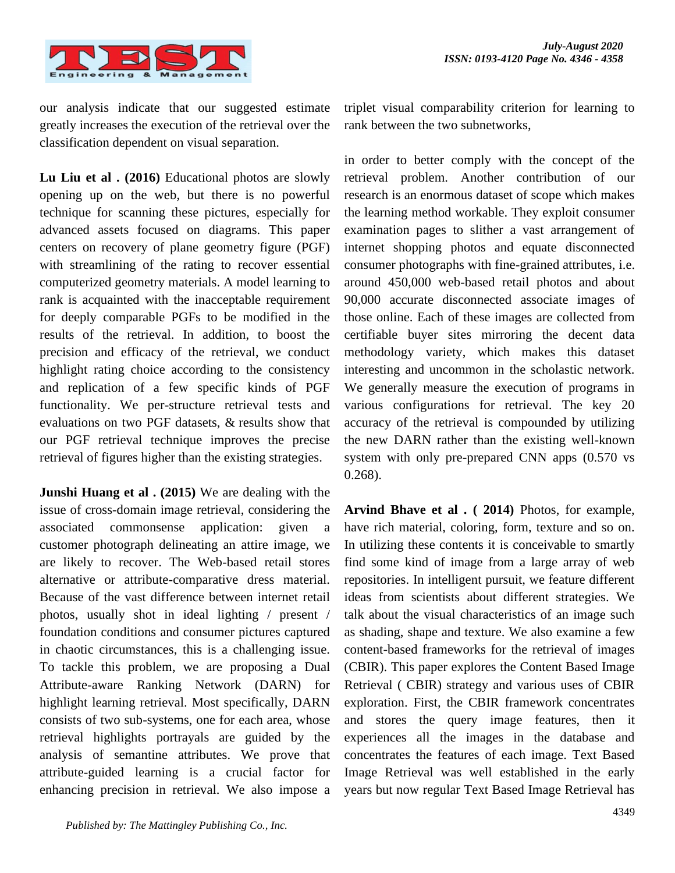

our analysis indicate that our suggested estimate greatly increases the execution of the retrieval over the classification dependent on visual separation.

**Lu Liu et al . (2016)** Educational photos are slowly opening up on the web, but there is no powerful technique for scanning these pictures, especially for advanced assets focused on diagrams. This paper centers on recovery of plane geometry figure (PGF) with streamlining of the rating to recover essential computerized geometry materials. A model learning to rank is acquainted with the inacceptable requirement for deeply comparable PGFs to be modified in the results of the retrieval. In addition, to boost the precision and efficacy of the retrieval, we conduct highlight rating choice according to the consistency and replication of a few specific kinds of PGF functionality. We per-structure retrieval tests and evaluations on two PGF datasets, & results show that our PGF retrieval technique improves the precise retrieval of figures higher than the existing strategies.

**Junshi Huang et al . (2015)** We are dealing with the issue of cross-domain image retrieval, considering the associated commonsense application: given a customer photograph delineating an attire image, we are likely to recover. The Web-based retail stores alternative or attribute-comparative dress material. Because of the vast difference between internet retail photos, usually shot in ideal lighting / present / foundation conditions and consumer pictures captured in chaotic circumstances, this is a challenging issue. To tackle this problem, we are proposing a Dual Attribute-aware Ranking Network (DARN) for highlight learning retrieval. Most specifically, DARN consists of two sub-systems, one for each area, whose retrieval highlights portrayals are guided by the analysis of semantine attributes. We prove that attribute-guided learning is a crucial factor for enhancing precision in retrieval. We also impose a

triplet visual comparability criterion for learning to rank between the two subnetworks,

in order to better comply with the concept of the retrieval problem. Another contribution of our research is an enormous dataset of scope which makes the learning method workable. They exploit consumer examination pages to slither a vast arrangement of internet shopping photos and equate disconnected consumer photographs with fine-grained attributes, i.e. around 450,000 web-based retail photos and about 90,000 accurate disconnected associate images of those online. Each of these images are collected from certifiable buyer sites mirroring the decent data methodology variety, which makes this dataset interesting and uncommon in the scholastic network. We generally measure the execution of programs in various configurations for retrieval. The key 20 accuracy of the retrieval is compounded by utilizing the new DARN rather than the existing well-known system with only pre-prepared CNN apps (0.570 vs 0.268).

**Arvind Bhave et al . ( 2014)** Photos, for example, have rich material, coloring, form, texture and so on. In utilizing these contents it is conceivable to smartly find some kind of image from a large array of web repositories. In intelligent pursuit, we feature different ideas from scientists about different strategies. We talk about the visual characteristics of an image such as shading, shape and texture. We also examine a few content-based frameworks for the retrieval of images (CBIR). This paper explores the Content Based Image Retrieval ( CBIR) strategy and various uses of CBIR exploration. First, the CBIR framework concentrates and stores the query image features, then it experiences all the images in the database and concentrates the features of each image. Text Based Image Retrieval was well established in the early years but now regular Text Based Image Retrieval has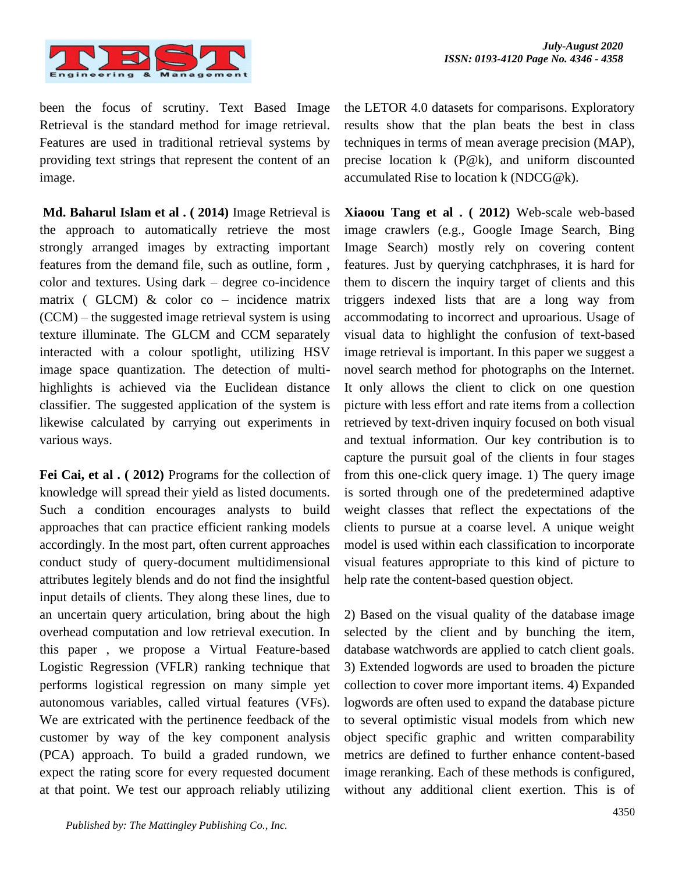

been the focus of scrutiny. Text Based Image Retrieval is the standard method for image retrieval. Features are used in traditional retrieval systems by providing text strings that represent the content of an image.

**Md. Baharul Islam et al . ( 2014)** Image Retrieval is the approach to automatically retrieve the most strongly arranged images by extracting important features from the demand file, such as outline, form , color and textures. Using dark – degree co-incidence matrix ( GLCM)  $& color co - incidence matrix$ (CCM) – the suggested image retrieval system is using texture illuminate. The GLCM and CCM separately interacted with a colour spotlight, utilizing HSV image space quantization. The detection of multihighlights is achieved via the Euclidean distance classifier. The suggested application of the system is likewise calculated by carrying out experiments in various ways.

**Fei Cai, et al . ( 2012)** Programs for the collection of knowledge will spread their yield as listed documents. Such a condition encourages analysts to build approaches that can practice efficient ranking models accordingly. In the most part, often current approaches conduct study of query-document multidimensional attributes legitely blends and do not find the insightful input details of clients. They along these lines, due to an uncertain query articulation, bring about the high overhead computation and low retrieval execution. In this paper , we propose a Virtual Feature-based Logistic Regression (VFLR) ranking technique that performs logistical regression on many simple yet autonomous variables, called virtual features (VFs). We are extricated with the pertinence feedback of the customer by way of the key component analysis (PCA) approach. To build a graded rundown, we expect the rating score for every requested document at that point. We test our approach reliably utilizing

the LETOR 4.0 datasets for comparisons. Exploratory results show that the plan beats the best in class techniques in terms of mean average precision (MAP), precise location k (P@k), and uniform discounted accumulated Rise to location k (NDCG@k).

**Xiaoou Tang et al . ( 2012)** Web-scale web-based image crawlers (e.g., Google Image Search, Bing Image Search) mostly rely on covering content features. Just by querying catchphrases, it is hard for them to discern the inquiry target of clients and this triggers indexed lists that are a long way from accommodating to incorrect and uproarious. Usage of visual data to highlight the confusion of text-based image retrieval is important. In this paper we suggest a novel search method for photographs on the Internet. It only allows the client to click on one question picture with less effort and rate items from a collection retrieved by text-driven inquiry focused on both visual and textual information. Our key contribution is to capture the pursuit goal of the clients in four stages from this one-click query image. 1) The query image is sorted through one of the predetermined adaptive weight classes that reflect the expectations of the clients to pursue at a coarse level. A unique weight model is used within each classification to incorporate visual features appropriate to this kind of picture to help rate the content-based question object.

2) Based on the visual quality of the database image selected by the client and by bunching the item, database watchwords are applied to catch client goals. 3) Extended logwords are used to broaden the picture collection to cover more important items. 4) Expanded logwords are often used to expand the database picture to several optimistic visual models from which new object specific graphic and written comparability metrics are defined to further enhance content-based image reranking. Each of these methods is configured, without any additional client exertion. This is of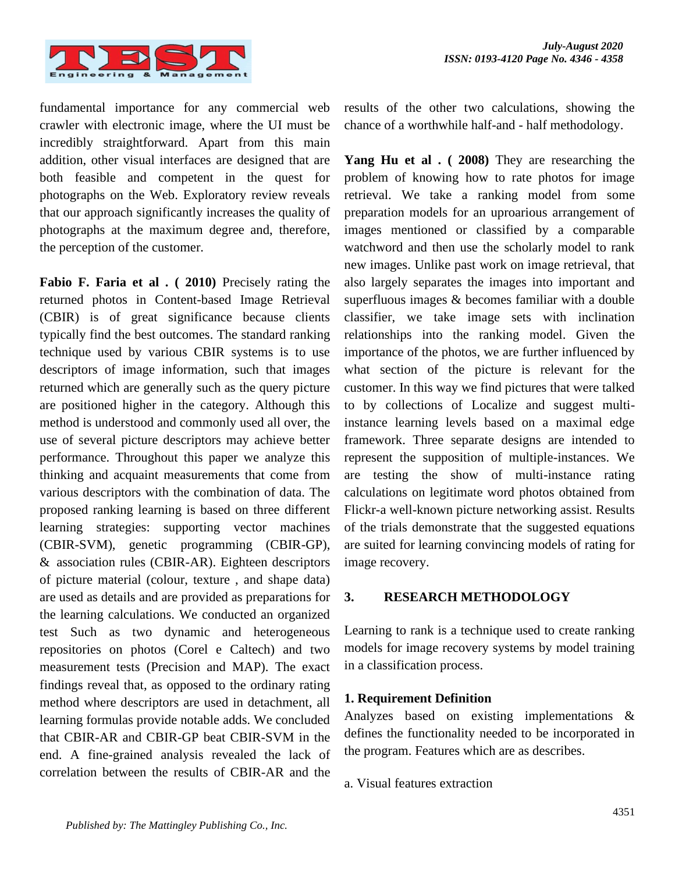

fundamental importance for any commercial web crawler with electronic image, where the UI must be incredibly straightforward. Apart from this main addition, other visual interfaces are designed that are both feasible and competent in the quest for photographs on the Web. Exploratory review reveals that our approach significantly increases the quality of photographs at the maximum degree and, therefore, the perception of the customer.

**Fabio F. Faria et al . ( 2010)** Precisely rating the returned photos in Content-based Image Retrieval (CBIR) is of great significance because clients typically find the best outcomes. The standard ranking technique used by various CBIR systems is to use descriptors of image information, such that images returned which are generally such as the query picture are positioned higher in the category. Although this method is understood and commonly used all over, the use of several picture descriptors may achieve better performance. Throughout this paper we analyze this thinking and acquaint measurements that come from various descriptors with the combination of data. The proposed ranking learning is based on three different learning strategies: supporting vector machines (CBIR-SVM), genetic programming (CBIR-GP), & association rules (CBIR-AR). Eighteen descriptors of picture material (colour, texture , and shape data) are used as details and are provided as preparations for the learning calculations. We conducted an organized test Such as two dynamic and heterogeneous repositories on photos (Corel e Caltech) and two measurement tests (Precision and MAP). The exact findings reveal that, as opposed to the ordinary rating method where descriptors are used in detachment, all learning formulas provide notable adds. We concluded that CBIR-AR and CBIR-GP beat CBIR-SVM in the end. A fine-grained analysis revealed the lack of correlation between the results of CBIR-AR and the

results of the other two calculations, showing the chance of a worthwhile half-and - half methodology.

**Yang Hu et al . ( 2008)** They are researching the problem of knowing how to rate photos for image retrieval. We take a ranking model from some preparation models for an uproarious arrangement of images mentioned or classified by a comparable watchword and then use the scholarly model to rank new images. Unlike past work on image retrieval, that also largely separates the images into important and superfluous images & becomes familiar with a double classifier, we take image sets with inclination relationships into the ranking model. Given the importance of the photos, we are further influenced by what section of the picture is relevant for the customer. In this way we find pictures that were talked to by collections of Localize and suggest multiinstance learning levels based on a maximal edge framework. Three separate designs are intended to represent the supposition of multiple-instances. We are testing the show of multi-instance rating calculations on legitimate word photos obtained from Flickr-a well-known picture networking assist. Results of the trials demonstrate that the suggested equations are suited for learning convincing models of rating for image recovery.

#### **3. RESEARCH METHODOLOGY**

Learning to rank is a technique used to create ranking models for image recovery systems by model training in a classification process.

# **1. Requirement Definition**

Analyzes based on existing implementations & defines the functionality needed to be incorporated in the program. Features which are as describes.

a. Visual features extraction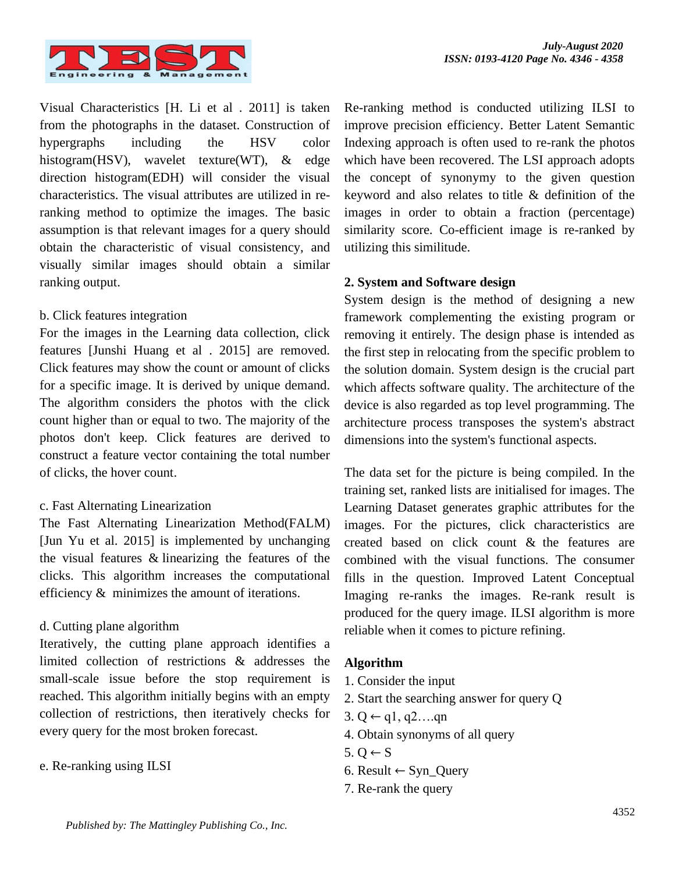

Visual Characteristics [H. Li et al . 2011] is taken from the photographs in the dataset. Construction of hypergraphs including the HSV color histogram(HSV), wavelet texture(WT), & edge direction histogram(EDH) will consider the visual characteristics. The visual attributes are utilized in reranking method to optimize the images. The basic assumption is that relevant images for a query should obtain the characteristic of visual consistency, and visually similar images should obtain a similar ranking output.

#### b. Click features integration

For the images in the Learning data collection, click features [Junshi Huang et al . 2015] are removed. Click features may show the count or amount of clicks for a specific image. It is derived by unique demand. The algorithm considers the photos with the click count higher than or equal to two. The majority of the photos don't keep. Click features are derived to construct a feature vector containing the total number of clicks, the hover count.

#### c. Fast Alternating Linearization

The Fast Alternating Linearization Method(FALM) [Jun Yu et al. 2015] is implemented by unchanging the visual features & linearizing the features of the clicks. This algorithm increases the computational efficiency & minimizes the amount of iterations.

# d. Cutting plane algorithm

Iteratively, the cutting plane approach identifies a limited collection of restrictions & addresses the small-scale issue before the stop requirement is reached. This algorithm initially begins with an empty collection of restrictions, then iteratively checks for every query for the most broken forecast.

#### e. Re-ranking using ILSI

Re-ranking method is conducted utilizing ILSI to improve precision efficiency. Better Latent Semantic Indexing approach is often used to re-rank the photos which have been recovered. The LSI approach adopts the concept of synonymy to the given question keyword and also relates to title & definition of the images in order to obtain a fraction (percentage) similarity score. Co-efficient image is re-ranked by utilizing this similitude.

# **2. System and Software design**

System design is the method of designing a new framework complementing the existing program or removing it entirely. The design phase is intended as the first step in relocating from the specific problem to the solution domain. System design is the crucial part which affects software quality. The architecture of the device is also regarded as top level programming. The architecture process transposes the system's abstract dimensions into the system's functional aspects.

The data set for the picture is being compiled. In the training set, ranked lists are initialised for images. The Learning Dataset generates graphic attributes for the images. For the pictures, click characteristics are created based on click count & the features are combined with the visual functions. The consumer fills in the question. Improved Latent Conceptual Imaging re-ranks the images. Re-rank result is produced for the query image. ILSI algorithm is more reliable when it comes to picture refining.

#### **Algorithm**

- 1. Consider the input
- 2. Start the searching answer for query Q
- 3. Q ← q1, q2....qn
- 4. Obtain synonyms of all query
- $5.0 \leftarrow S$
- 6. Result ← Syn\_Query
- 7. Re-rank the query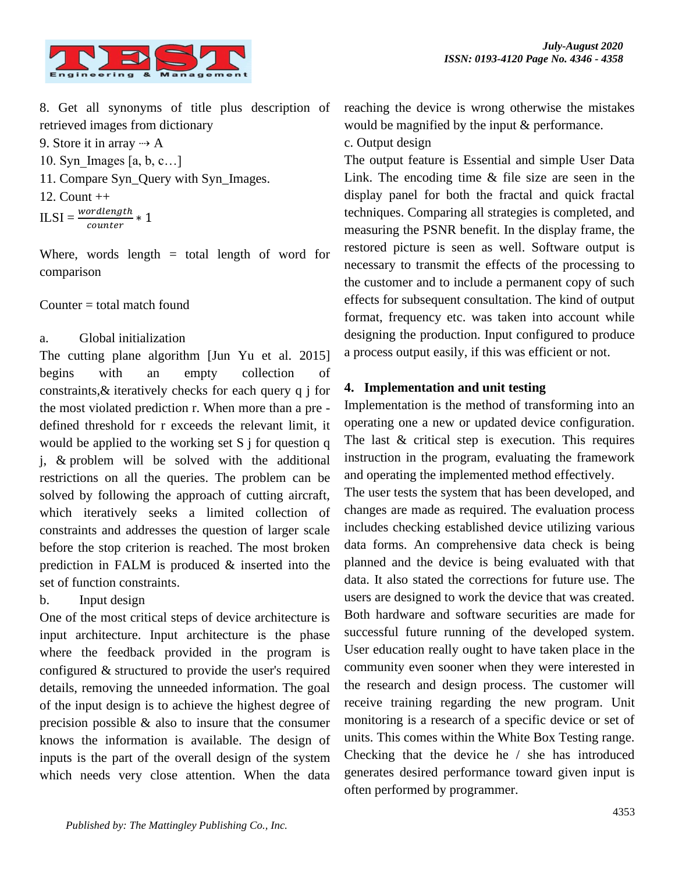

8. Get all synonyms of title plus description of retrieved images from dictionary

9. Store it in array  $\rightarrow$  A 10. Syn Images  $[a, b, c...]$ 11. Compare Syn\_Query with Syn\_Images. 12. Count ++

 $ILSI = \frac{wordlength}{counter} * 1$ 

Where, words length  $=$  total length of word for comparison

# Counter  $=$  total match found

# a. Global initialization

The cutting plane algorithm [Jun Yu et al. 2015] begins with an empty collection of constraints,& iteratively checks for each query q j for the most violated prediction r. When more than a pre defined threshold for r exceeds the relevant limit, it would be applied to the working set  $S$  j for question q j, & problem will be solved with the additional restrictions on all the queries. The problem can be solved by following the approach of cutting aircraft, which iteratively seeks a limited collection of constraints and addresses the question of larger scale before the stop criterion is reached. The most broken prediction in FALM is produced & inserted into the set of function constraints.

# b. Input design

One of the most critical steps of device architecture is input architecture. Input architecture is the phase where the feedback provided in the program is configured & structured to provide the user's required details, removing the unneeded information. The goal of the input design is to achieve the highest degree of precision possible & also to insure that the consumer knows the information is available. The design of inputs is the part of the overall design of the system which needs very close attention. When the data reaching the device is wrong otherwise the mistakes would be magnified by the input & performance.

# c. Output design

The output feature is Essential and simple User Data Link. The encoding time & file size are seen in the display panel for both the fractal and quick fractal techniques. Comparing all strategies is completed, and measuring the PSNR benefit. In the display frame, the restored picture is seen as well. Software output is necessary to transmit the effects of the processing to the customer and to include a permanent copy of such effects for subsequent consultation. The kind of output format, frequency etc. was taken into account while designing the production. Input configured to produce a process output easily, if this was efficient or not.

# **4. Implementation and unit testing**

Implementation is the method of transforming into an operating one a new or updated device configuration. The last & critical step is execution. This requires instruction in the program, evaluating the framework and operating the implemented method effectively.

The user tests the system that has been developed, and changes are made as required. The evaluation process includes checking established device utilizing various data forms. An comprehensive data check is being planned and the device is being evaluated with that data. It also stated the corrections for future use. The users are designed to work the device that was created. Both hardware and software securities are made for successful future running of the developed system. User education really ought to have taken place in the community even sooner when they were interested in the research and design process. The customer will receive training regarding the new program. Unit monitoring is a research of a specific device or set of units. This comes within the White Box Testing range. Checking that the device he / she has introduced generates desired performance toward given input is often performed by programmer.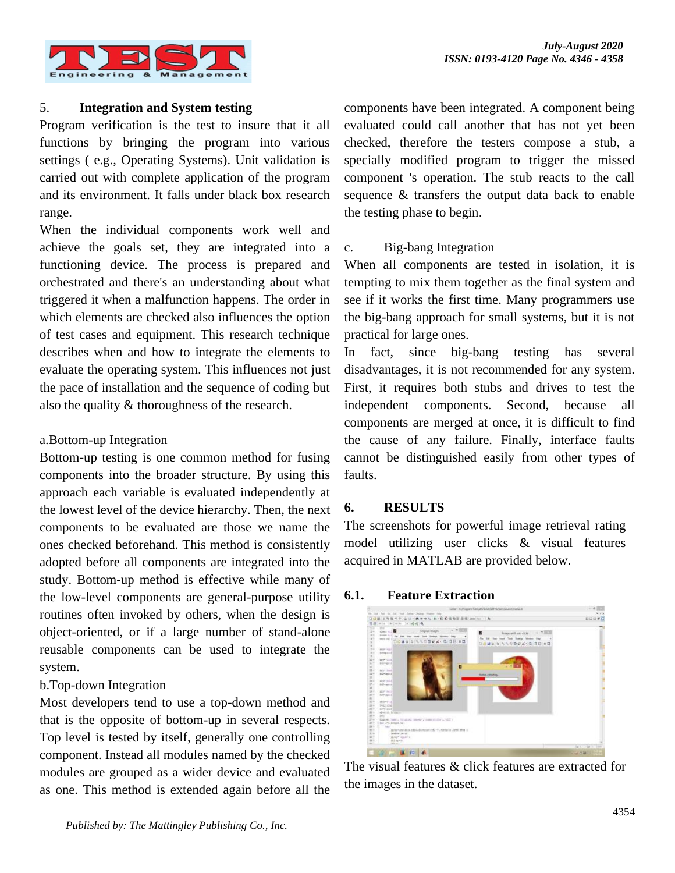

# 5. **Integration and System testing**

Program verification is the test to insure that it all functions by bringing the program into various settings ( e.g., Operating Systems). Unit validation is carried out with complete application of the program and its environment. It falls under black box research range.

When the individual components work well and achieve the goals set, they are integrated into a functioning device. The process is prepared and orchestrated and there's an understanding about what triggered it when a malfunction happens. The order in which elements are checked also influences the option of test cases and equipment. This research technique describes when and how to integrate the elements to evaluate the operating system. This influences not just the pace of installation and the sequence of coding but also the quality & thoroughness of the research.

# a.Bottom-up Integration

Bottom-up testing is one common method for fusing components into the broader structure. By using this approach each variable is evaluated independently at the lowest level of the device hierarchy. Then, the next components to be evaluated are those we name the ones checked beforehand. This method is consistently adopted before all components are integrated into the study. Bottom-up method is effective while many of the low-level components are general-purpose utility routines often invoked by others, when the design is object-oriented, or if a large number of stand-alone reusable components can be used to integrate the system.

# b.Top-down Integration

Most developers tend to use a top-down method and that is the opposite of bottom-up in several respects. Top level is tested by itself, generally one controlling component. Instead all modules named by the checked modules are grouped as a wider device and evaluated as one. This method is extended again before all the

components have been integrated. A component being evaluated could call another that has not yet been checked, therefore the testers compose a stub, a specially modified program to trigger the missed component 's operation. The stub reacts to the call sequence & transfers the output data back to enable the testing phase to begin.

# c. Big-bang Integration

When all components are tested in isolation, it is tempting to mix them together as the final system and see if it works the first time. Many programmers use the big-bang approach for small systems, but it is not practical for large ones.

In fact, since big-bang testing has several disadvantages, it is not recommended for any system. First, it requires both stubs and drives to test the independent components. Second, because all components are merged at once, it is difficult to find the cause of any failure. Finally, interface faults cannot be distinguished easily from other types of faults.

# **6. RESULTS**

The screenshots for powerful image retrieval rating model utilizing user clicks & visual features acquired in MATLAB are provided below.

#### **6.1. Feature Extraction**



The visual features & click features are extracted for the images in the dataset.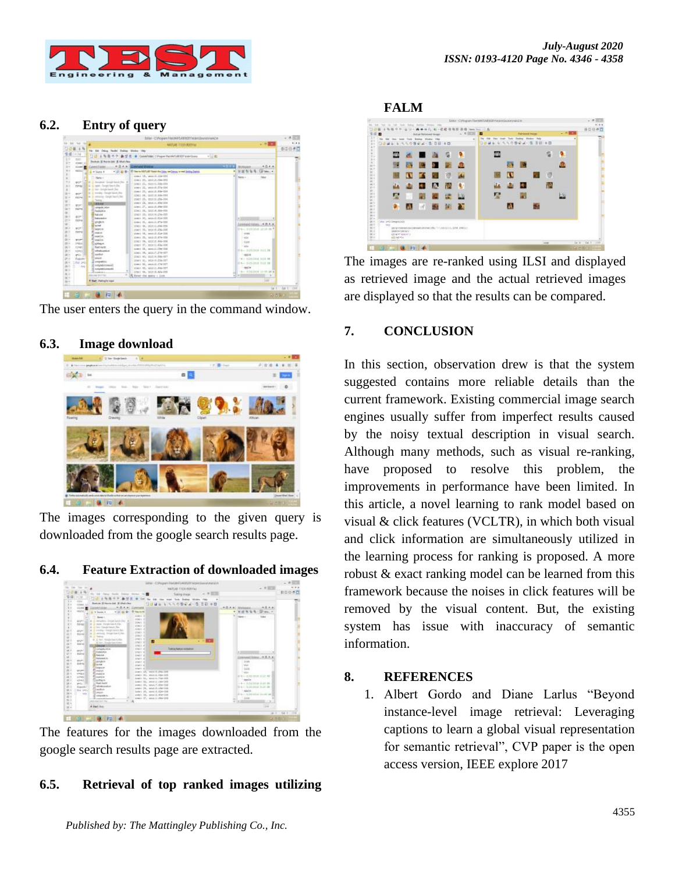

#### **6.2. Entry of query**

| 14 30 10 10 11          |                                        | AUJUR PERDICHIAL                                                           | $-0.001$                 | 5.18          |
|-------------------------|----------------------------------------|----------------------------------------------------------------------------|--------------------------|---------------|
| 日は無いね                   |                                        |                                                                            |                          | おの日き口         |
| 19 项 一 河                | No. 344 Delug Textel Deling Weder 1984 |                                                                            |                          |               |
|                         | 日语言<br>布局                              | <b>B IF E. B. Constraint: Chapter ReAM/LARAT/VAntisum</b><br>$\tau \sim 0$ |                          |               |
| <b>TEST</b><br>slast in | Bookup E Rockclabi & Short New         |                                                                            |                          |               |
| diesel <b>B</b>         | 中日本社<br><b>Louised Fabble</b>          | <b>Contrared Militires</b>                                                 | <b>HEFT</b><br>$-0.00$   |               |
| $-0.0014$               | <b>L</b> = Supp 1<br>$+121$ (a) $0+$   | El Siaz in MATURE Ratch War Edm. Am Denny, or med Setting Statisti.        | w se<br>El Sales +       |               |
|                         |                                        | sime: 18, second.124-125                                                   |                          |               |
|                         | Network                                | 10011 25, 1010 01:514-008                                                  | New -                    |               |
| wir.                    | a deceler tongt land the               | tear: 21, mayri.364-2001                                                   |                          |               |
| cryst                   | is again change based the              | inner 11, resour. (1) more                                                 |                          |               |
|                         | at all into Google Secure Dec-         | time: 35, seiscit.He-CHF                                                   |                          |               |
| port.                   | E. J. Homby : Gangle Stanie (Sin)      | 1001-14, 1020-2108-039                                                     |                          |               |
| <b>DEPA</b>             | 6 S. emorg-Seep-leath for              | test H. standale-lot                                                       |                          |               |
|                         | <b>Server</b>                          | simis 25, restainted in                                                    |                          |               |
| \$27.7                  | <b>Ideand</b>                          | Lims, JT, said./Little-120.                                                |                          |               |
| <b>HATHE</b>            | canavia score                          | USE1 15, SECA 168-100                                                      |                          |               |
|                         | Fashibites                             |                                                                            |                          |               |
| and the                 | <b>National</b>                        | there 25, month-256-220.                                                   |                          |               |
| dates                   | <b>Instrument</b>                      | time: 30, sets.d.dis-100                                                   | $\mathbf{r}$             |               |
|                         | grisdeline                             | Limit II, month Pe-120                                                     | Downsoil (600) 4.0.4.4   |               |
| $10^{14}$               | <b>Include</b><br><b>Legen Av</b>      | LOST M. HOULDN-TH                                                          |                          |               |
| TORNA                   | man.m.                                 | trari H, minitable-list                                                    | 04-H19764 1019 P.T.      |               |
|                         | madin                                  | time: H. sencil.De-208                                                     | cost                     |               |
| <b>BUYER</b>            | <b>Florida</b>                         | men H. antille-ma                                                          | <b>SO</b>                |               |
| trezu                   | <b>El sistasini</b>                    | 10611 34, \$23510-\$46-006                                                 | <b>State</b>             |               |
| rimed                   | <b>Built trant</b>                     | team 97, reterli-bla-bbd.                                                  | <b>SG</b>                |               |
| silveri                 | adjudgeplant                           | 10011 11, month On-108                                                     | B-B- Acphrison such im   |               |
| and it                  | sadut                                  | MAIL H, MALITIM-STT                                                        | 462.36                   |               |
| Costant                 | work.                                  | List: 45; (33514.044-007)                                                  | WH EITHOUGH THE RE       |               |
|                         | <b>Il sorpativo</b>                    | iter: H. Importable-1077                                                   |                          |               |
| na jui                  | X newspaper comment                    | time: 42, montal. (74-027)                                                 | dia-1 streams told in    |               |
| 7.987                   | Pl suspectivizements                   | LOAD 41, GENEL-He-SIT                                                      | MAG 24                   |               |
|                         | <b>Romano</b>                          | LOST 14, SECOLAR-RW                                                        | the Atlantan street as a |               |
|                         | ALCOHOL: YES                           | B Donar das marry 1 1110                                                   | 40.225<br>ыu             |               |
|                         | 4 Net: Rategie keyt                    |                                                                            | <b>Girl</b>              |               |
|                         |                                        |                                                                            |                          |               |
|                         |                                        |                                                                            |                          | to 1 24 1 100 |

|  |  |  | The user enters the query in the command window. |  |
|--|--|--|--------------------------------------------------|--|
|  |  |  |                                                  |  |

# e E

# **6.3. Image download**

The images corresponding to the given query is downloaded from the google search results page.

#### **6.4. Feature Extraction of downloaded images**



The features for the images downloaded from the google search results page are extracted.

# **6.5. Retrieval of top ranked images utilizing**

#### **FALM**



The images are re-ranked using ILSI and displayed as retrieved image and the actual retrieved images are displayed so that the results can be compared.

# **7. CONCLUSION**

In this section, observation drew is that the system suggested contains more reliable details than the current framework. Existing commercial image search engines usually suffer from imperfect results caused by the noisy textual description in visual search. Although many methods, such as visual re-ranking, have proposed to resolve this problem, the improvements in performance have been limited. In this article, a novel learning to rank model based on visual & click features (VCLTR), in which both visual and click information are simultaneously utilized in the learning process for ranking is proposed. A more robust & exact ranking model can be learned from this framework because the noises in click features will be removed by the visual content. But, the existing system has issue with inaccuracy of semantic information.

#### **8. REFERENCES**

1. Albert Gordo and Diane Larlus "Beyond instance-level image retrieval: Leveraging captions to learn a global visual representation for semantic retrieval", CVP paper is the open access version, IEEE explore 2017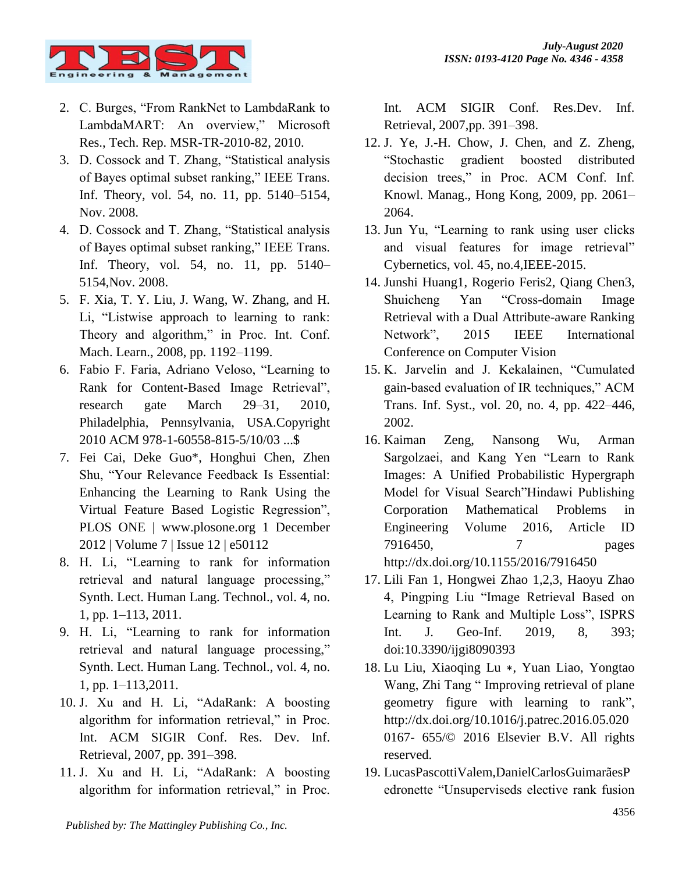

- 2. C. Burges, "From RankNet to LambdaRank to LambdaMART: An overview," Microsoft Res., Tech. Rep. MSR-TR-2010-82, 2010.
- 3. D. Cossock and T. Zhang, "Statistical analysis of Bayes optimal subset ranking," IEEE Trans. Inf. Theory, vol. 54, no. 11, pp. 5140–5154, Nov. 2008.
- 4. D. Cossock and T. Zhang, "Statistical analysis of Bayes optimal subset ranking," IEEE Trans. Inf. Theory, vol. 54, no. 11, pp. 5140– 5154,Nov. 2008.
- 5. F. Xia, T. Y. Liu, J. Wang, W. Zhang, and H. Li, "Listwise approach to learning to rank: Theory and algorithm," in Proc. Int. Conf. Mach. Learn., 2008, pp. 1192–1199.
- 6. Fabio F. Faria, Adriano Veloso, "Learning to Rank for Content-Based Image Retrieval", research gate March 29–31, 2010, Philadelphia, Pennsylvania, USA.Copyright 2010 ACM 978-1-60558-815-5/10/03 ...\$
- 7. Fei Cai, Deke Guo\*, Honghui Chen, Zhen Shu, "Your Relevance Feedback Is Essential: Enhancing the Learning to Rank Using the Virtual Feature Based Logistic Regression", PLOS ONE | www.plosone.org 1 December 2012 | Volume 7 | Issue 12 | e50112
- 8. H. Li, "Learning to rank for information retrieval and natural language processing," Synth. Lect. Human Lang. Technol., vol. 4, no. 1, pp. 1–113, 2011.
- 9. H. Li, "Learning to rank for information retrieval and natural language processing," Synth. Lect. Human Lang. Technol., vol. 4, no. 1, pp. 1–113,2011.
- 10. J. Xu and H. Li, "AdaRank: A boosting algorithm for information retrieval," in Proc. Int. ACM SIGIR Conf. Res. Dev. Inf. Retrieval, 2007, pp. 391–398.
- 11. J. Xu and H. Li, "AdaRank: A boosting algorithm for information retrieval," in Proc.

Int. ACM SIGIR Conf. Res.Dev. Inf. Retrieval, 2007,pp. 391–398.

- 12. J. Ye, J.-H. Chow, J. Chen, and Z. Zheng, "Stochastic gradient boosted distributed decision trees," in Proc. ACM Conf. Inf. Knowl. Manag., Hong Kong, 2009, pp. 2061– 2064.
- 13. Jun Yu, "Learning to rank using user clicks and visual features for image retrieval" Cybernetics, vol. 45, no.4,IEEE-2015.
- 14. Junshi Huang1, Rogerio Feris2, Qiang Chen3, Shuicheng Yan "Cross-domain Image Retrieval with a Dual Attribute-aware Ranking Network", 2015 IEEE International Conference on Computer Vision
- 15. K. Jarvelin and J. Kekalainen, "Cumulated gain-based evaluation of IR techniques," ACM Trans. Inf. Syst., vol. 20, no. 4, pp. 422–446, 2002.
- 16. Kaiman Zeng, Nansong Wu, Arman Sargolzaei, and Kang Yen "Learn to Rank Images: A Unified Probabilistic Hypergraph Model for Visual Search"Hindawi Publishing Corporation Mathematical Problems in Engineering Volume 2016, Article ID 7916450, 7 pages <http://dx.doi.org/10.1155/2016/7916450>
- 17. Lili Fan 1, Hongwei Zhao 1,2,3, Haoyu Zhao 4, Pingping Liu "Image Retrieval Based on Learning to Rank and Multiple Loss", ISPRS Int. J. Geo-Inf. 2019, 8, 393; doi:10.3390/ijgi8090393
- 18. Lu Liu, Xiaoqing Lu ∗, Yuan Liao, Yongtao Wang, Zhi Tang " Improving retrieval of plane geometry figure with learning to rank", http://dx.doi.org/10.1016/j.patrec.2016.05.020 0167- 655/© 2016 Elsevier B.V. All rights reserved.
- 19. LucasPascottiValem,DanielCarlosGuimarãesP edronette "Unsuperviseds elective rank fusion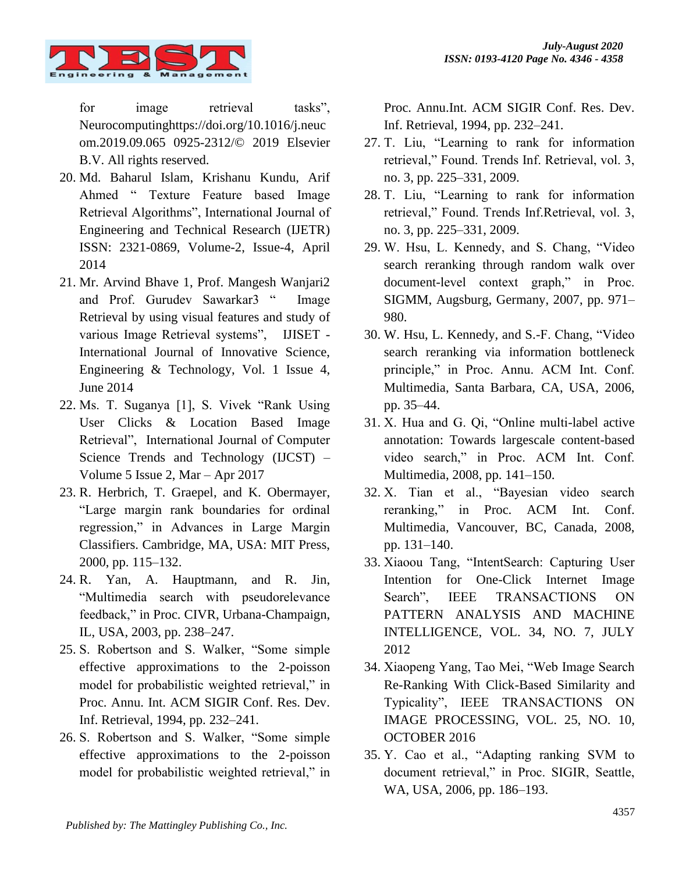

for image retrieval tasks", Neurocomputinghttps://doi.org/10.1016/j.neuc om.2019.09.065 0925-2312/© 2019 Elsevier B.V. All rights reserved.

- 20. Md. Baharul Islam, Krishanu Kundu, Arif Ahmed " Texture Feature based Image Retrieval Algorithms", International Journal of Engineering and Technical Research (IJETR) ISSN: 2321-0869, Volume-2, Issue-4, April 2014
- 21. Mr. Arvind Bhave 1, Prof. Mangesh Wanjari2 and Prof. Gurudev Sawarkar3 " Image Retrieval by using visual features and study of various Image Retrieval systems", IJISET - International Journal of Innovative Science, Engineering & Technology, Vol. 1 Issue 4, June 2014
- 22. Ms. T. Suganya [1], S. Vivek "Rank Using User Clicks & Location Based Image Retrieval", International Journal of Computer Science Trends and Technology (IJCST) – Volume 5 Issue 2, Mar – Apr 2017
- 23. R. Herbrich, T. Graepel, and K. Obermayer, "Large margin rank boundaries for ordinal regression," in Advances in Large Margin Classifiers. Cambridge, MA, USA: MIT Press, 2000, pp. 115–132.
- 24. R. Yan, A. Hauptmann, and R. Jin, "Multimedia search with pseudorelevance feedback," in Proc. CIVR, Urbana-Champaign, IL, USA, 2003, pp. 238–247.
- 25. S. Robertson and S. Walker, "Some simple effective approximations to the 2-poisson model for probabilistic weighted retrieval," in Proc. Annu. Int. ACM SIGIR Conf. Res. Dev. Inf. Retrieval, 1994, pp. 232–241.
- 26. S. Robertson and S. Walker, "Some simple effective approximations to the 2-poisson model for probabilistic weighted retrieval," in

Proc. Annu.Int. ACM SIGIR Conf. Res. Dev. Inf. Retrieval, 1994, pp. 232–241.

- 27. T. Liu, "Learning to rank for information retrieval," Found. Trends Inf. Retrieval, vol. 3, no. 3, pp. 225–331, 2009.
- 28. T. Liu, "Learning to rank for information retrieval," Found. Trends Inf.Retrieval, vol. 3, no. 3, pp. 225–331, 2009.
- 29. W. Hsu, L. Kennedy, and S. Chang, "Video search reranking through random walk over document-level context graph," in Proc. SIGMM, Augsburg, Germany, 2007, pp. 971– 980.
- 30. W. Hsu, L. Kennedy, and S.-F. Chang, "Video search reranking via information bottleneck principle," in Proc. Annu. ACM Int. Conf. Multimedia, Santa Barbara, CA, USA, 2006, pp. 35–44.
- 31. X. Hua and G. Qi, "Online multi-label active annotation: Towards largescale content-based video search," in Proc. ACM Int. Conf. Multimedia, 2008, pp. 141–150.
- 32. X. Tian et al., "Bayesian video search reranking," in Proc. ACM Int. Conf. Multimedia, Vancouver, BC, Canada, 2008, pp. 131–140.
- 33. Xiaoou Tang, "IntentSearch: Capturing User Intention for One-Click Internet Image Search". IEEE TRANSACTIONS ON PATTERN ANALYSIS AND MACHINE INTELLIGENCE, VOL. 34, NO. 7, JULY 2012
- 34. Xiaopeng Yang, Tao Mei, "Web Image Search Re-Ranking With Click-Based Similarity and Typicality", IEEE TRANSACTIONS ON IMAGE PROCESSING, VOL. 25, NO. 10, OCTOBER 2016
- 35. Y. Cao et al., "Adapting ranking SVM to document retrieval," in Proc. SIGIR, Seattle, WA, USA, 2006, pp. 186–193.